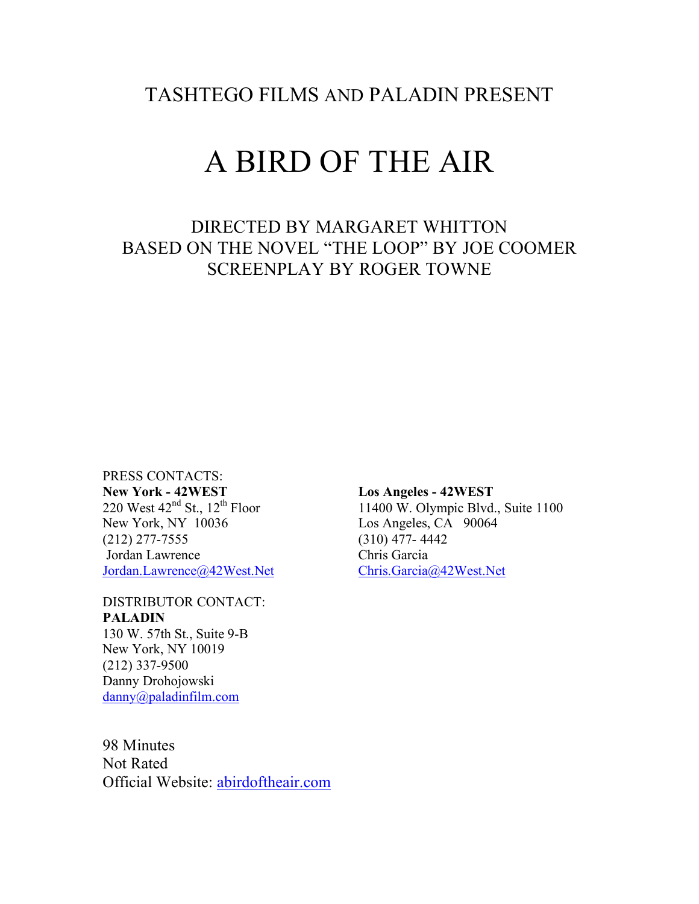TASHTEGO FILMS AND PALADIN PRESENT

# A BIRD OF THE AIR

# DIRECTED BY MARGARET WHITTON BASED ON THE NOVEL "THE LOOP" BY JOE COOMER SCREENPLAY BY ROGER TOWNE

PRESS CONTACTS: **New York - 42WEST**<br>
220 West  $42^{\text{nd}}$  St.,  $12^{\text{th}}$  Floor<br>
11400 W. Olympic Blvd. New York, NY 10036 Los Angeles, CA 90064 (212) 277-7555 (310) 477- 4442 Jordan Lawrence Jordan.Lawrence@42West.Net Chris.Garcia@42West.Net

DISTRIBUTOR CONTACT: **PALADIN** 130 W. 57th St., Suite 9-B New York, NY 10019

(212) 337-9500 Danny Drohojowski danny@paladinfilm.com

98 Minutes Not Rated Official Website: abirdoftheair.com 11400 W. Olympic Blvd., Suite 1100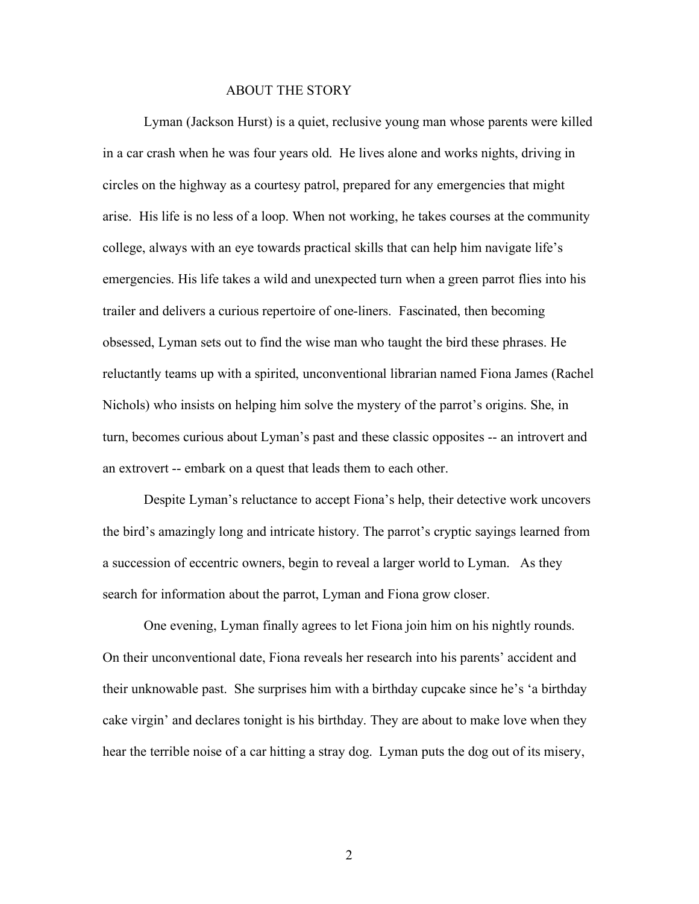#### ABOUT THE STORY

Lyman (Jackson Hurst) is a quiet, reclusive young man whose parents were killed in a car crash when he was four years old. He lives alone and works nights, driving in circles on the highway as a courtesy patrol, prepared for any emergencies that might arise. His life is no less of a loop. When not working, he takes courses at the community college, always with an eye towards practical skills that can help him navigate life's emergencies. His life takes a wild and unexpected turn when a green parrot flies into his trailer and delivers a curious repertoire of one-liners. Fascinated, then becoming obsessed, Lyman sets out to find the wise man who taught the bird these phrases. He reluctantly teams up with a spirited, unconventional librarian named Fiona James (Rachel Nichols) who insists on helping him solve the mystery of the parrot's origins. She, in turn, becomes curious about Lyman's past and these classic opposites -- an introvert and an extrovert -- embark on a quest that leads them to each other.

Despite Lyman's reluctance to accept Fiona's help, their detective work uncovers the bird's amazingly long and intricate history. The parrot's cryptic sayings learned from a succession of eccentric owners, begin to reveal a larger world to Lyman. As they search for information about the parrot, Lyman and Fiona grow closer.

One evening, Lyman finally agrees to let Fiona join him on his nightly rounds. On their unconventional date, Fiona reveals her research into his parents' accident and their unknowable past. She surprises him with a birthday cupcake since he's 'a birthday cake virgin' and declares tonight is his birthday. They are about to make love when they hear the terrible noise of a car hitting a stray dog. Lyman puts the dog out of its misery,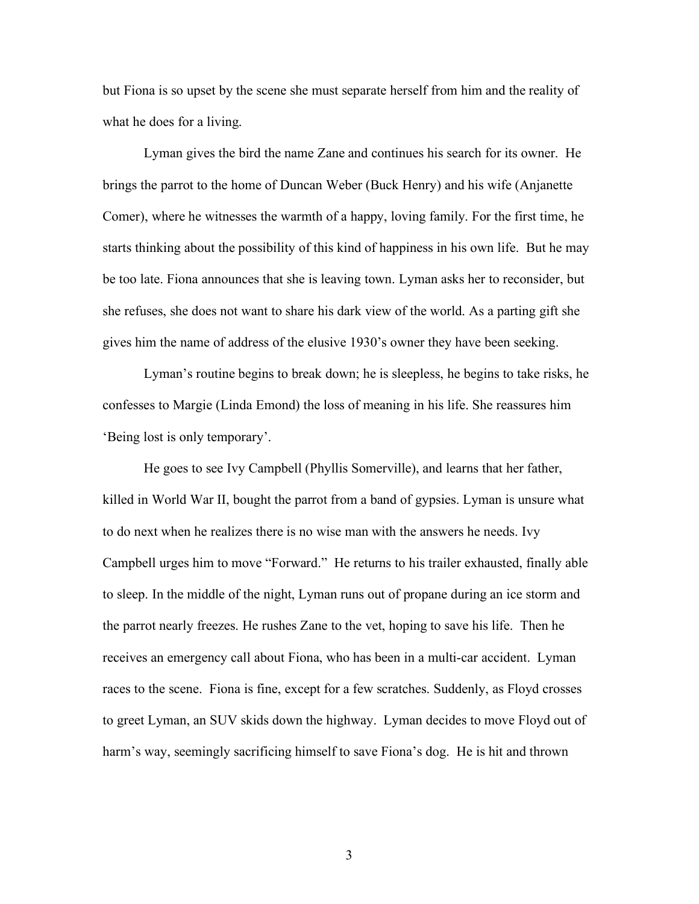but Fiona is so upset by the scene she must separate herself from him and the reality of what he does for a living.

Lyman gives the bird the name Zane and continues his search for its owner. He brings the parrot to the home of Duncan Weber (Buck Henry) and his wife (Anjanette Comer), where he witnesses the warmth of a happy, loving family. For the first time, he starts thinking about the possibility of this kind of happiness in his own life. But he may be too late. Fiona announces that she is leaving town. Lyman asks her to reconsider, but she refuses, she does not want to share his dark view of the world. As a parting gift she gives him the name of address of the elusive 1930's owner they have been seeking.

Lyman's routine begins to break down; he is sleepless, he begins to take risks, he confesses to Margie (Linda Emond) the loss of meaning in his life. She reassures him 'Being lost is only temporary'.

He goes to see Ivy Campbell (Phyllis Somerville), and learns that her father, killed in World War II, bought the parrot from a band of gypsies. Lyman is unsure what to do next when he realizes there is no wise man with the answers he needs. Ivy Campbell urges him to move "Forward." He returns to his trailer exhausted, finally able to sleep. In the middle of the night, Lyman runs out of propane during an ice storm and the parrot nearly freezes. He rushes Zane to the vet, hoping to save his life. Then he receives an emergency call about Fiona, who has been in a multi-car accident. Lyman races to the scene. Fiona is fine, except for a few scratches. Suddenly, as Floyd crosses to greet Lyman, an SUV skids down the highway. Lyman decides to move Floyd out of harm's way, seemingly sacrificing himself to save Fiona's dog. He is hit and thrown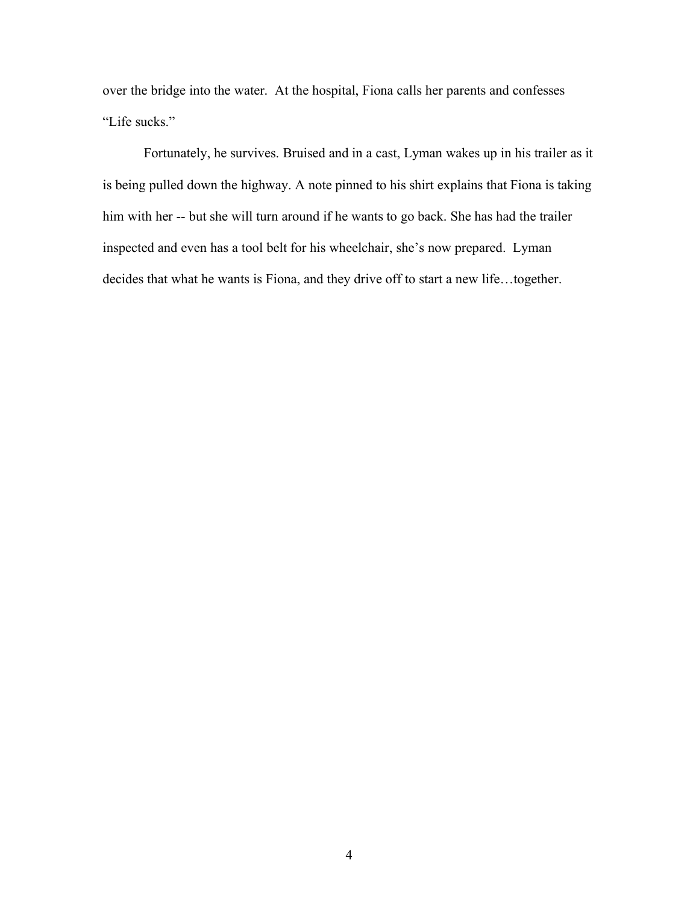over the bridge into the water. At the hospital, Fiona calls her parents and confesses "Life sucks."

Fortunately, he survives. Bruised and in a cast, Lyman wakes up in his trailer as it is being pulled down the highway. A note pinned to his shirt explains that Fiona is taking him with her -- but she will turn around if he wants to go back. She has had the trailer inspected and even has a tool belt for his wheelchair, she's now prepared. Lyman decides that what he wants is Fiona, and they drive off to start a new life…together.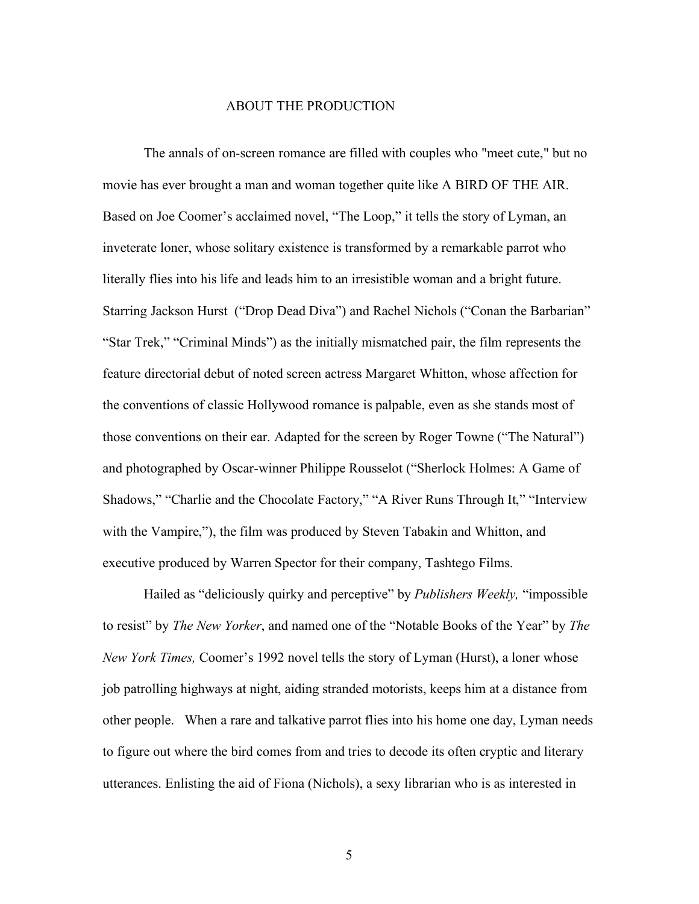#### ABOUT THE PRODUCTION

The annals of on-screen romance are filled with couples who "meet cute," but no movie has ever brought a man and woman together quite like A BIRD OF THE AIR. Based on Joe Coomer's acclaimed novel, "The Loop," it tells the story of Lyman, an inveterate loner, whose solitary existence is transformed by a remarkable parrot who literally flies into his life and leads him to an irresistible woman and a bright future. Starring Jackson Hurst ("Drop Dead Diva") and Rachel Nichols ("Conan the Barbarian" "Star Trek," "Criminal Minds") as the initially mismatched pair, the film represents the feature directorial debut of noted screen actress Margaret Whitton, whose affection for the conventions of classic Hollywood romance is palpable, even as she stands most of those conventions on their ear. Adapted for the screen by Roger Towne ("The Natural") and photographed by Oscar-winner Philippe Rousselot ("Sherlock Holmes: A Game of Shadows," "Charlie and the Chocolate Factory," "A River Runs Through It," "Interview with the Vampire,"), the film was produced by Steven Tabakin and Whitton, and executive produced by Warren Spector for their company, Tashtego Films.

Hailed as "deliciously quirky and perceptive" by *Publishers Weekly,* "impossible to resist" by *The New Yorker*, and named one of the "Notable Books of the Year" by *The New York Times,* Coomer's 1992 novel tells the story of Lyman (Hurst), a loner whose job patrolling highways at night, aiding stranded motorists, keeps him at a distance from other people. When a rare and talkative parrot flies into his home one day, Lyman needs to figure out where the bird comes from and tries to decode its often cryptic and literary utterances. Enlisting the aid of Fiona (Nichols), a sexy librarian who is as interested in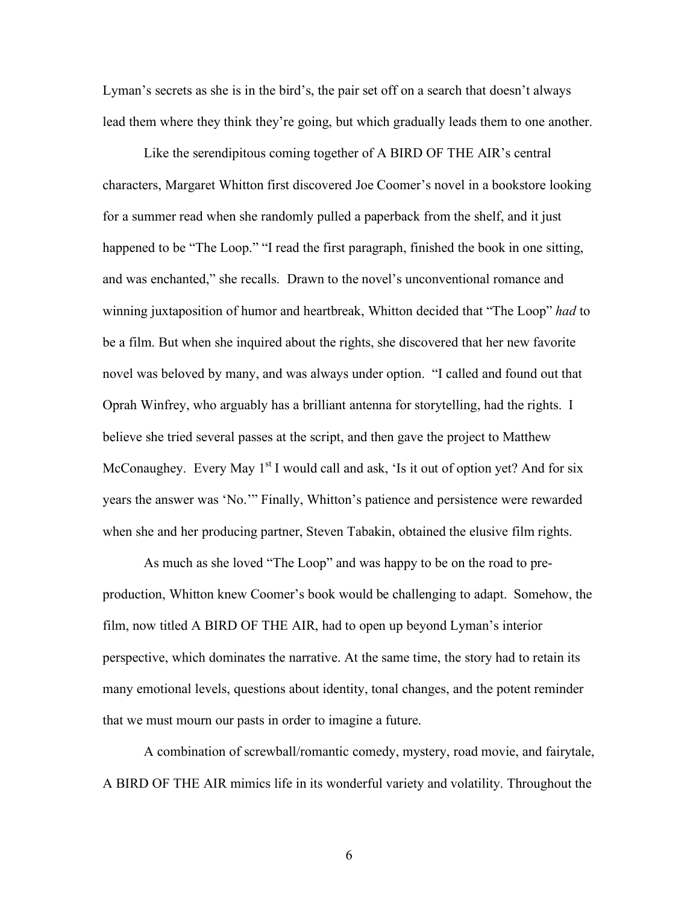Lyman's secrets as she is in the bird's, the pair set off on a search that doesn't always lead them where they think they're going, but which gradually leads them to one another.

Like the serendipitous coming together of A BIRD OF THE AIR's central characters, Margaret Whitton first discovered Joe Coomer's novel in a bookstore looking for a summer read when she randomly pulled a paperback from the shelf, and it just happened to be "The Loop." "I read the first paragraph, finished the book in one sitting, and was enchanted," she recalls. Drawn to the novel's unconventional romance and winning juxtaposition of humor and heartbreak, Whitton decided that "The Loop" *had* to be a film. But when she inquired about the rights, she discovered that her new favorite novel was beloved by many, and was always under option. "I called and found out that Oprah Winfrey, who arguably has a brilliant antenna for storytelling, had the rights. I believe she tried several passes at the script, and then gave the project to Matthew McConaughey. Every May  $1<sup>st</sup>$  I would call and ask, 'Is it out of option yet? And for six years the answer was 'No.'" Finally, Whitton's patience and persistence were rewarded when she and her producing partner, Steven Tabakin, obtained the elusive film rights.

As much as she loved "The Loop" and was happy to be on the road to preproduction, Whitton knew Coomer's book would be challenging to adapt. Somehow, the film, now titled A BIRD OF THE AIR, had to open up beyond Lyman's interior perspective, which dominates the narrative. At the same time, the story had to retain its many emotional levels, questions about identity, tonal changes, and the potent reminder that we must mourn our pasts in order to imagine a future.

A combination of screwball/romantic comedy, mystery, road movie, and fairytale, A BIRD OF THE AIR mimics life in its wonderful variety and volatility. Throughout the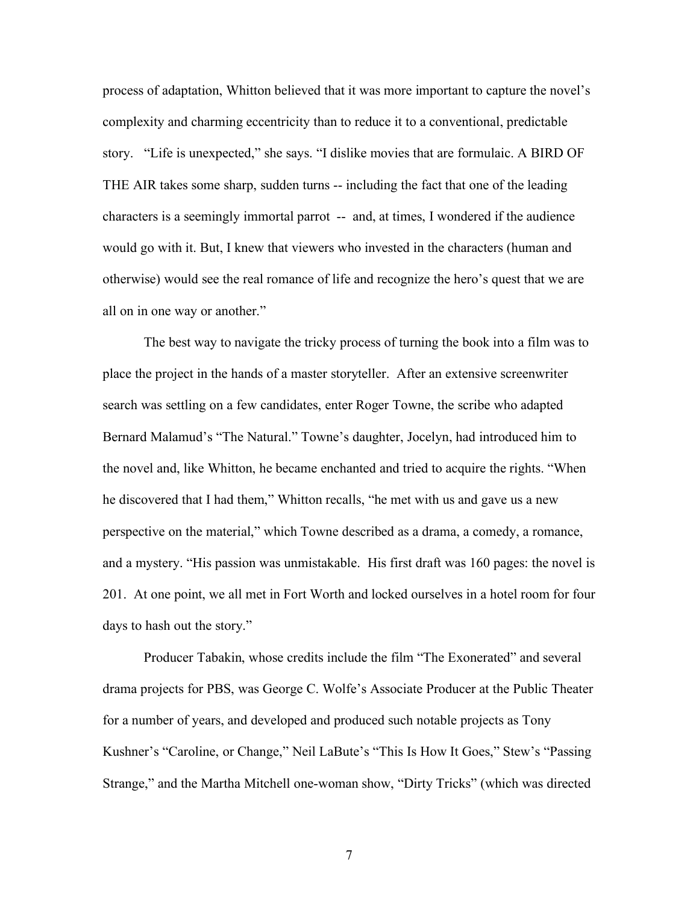process of adaptation, Whitton believed that it was more important to capture the novel's complexity and charming eccentricity than to reduce it to a conventional, predictable story. "Life is unexpected," she says. "I dislike movies that are formulaic. A BIRD OF THE AIR takes some sharp, sudden turns -- including the fact that one of the leading characters is a seemingly immortal parrot -- and, at times, I wondered if the audience would go with it. But, I knew that viewers who invested in the characters (human and otherwise) would see the real romance of life and recognize the hero's quest that we are all on in one way or another."

The best way to navigate the tricky process of turning the book into a film was to place the project in the hands of a master storyteller. After an extensive screenwriter search was settling on a few candidates, enter Roger Towne, the scribe who adapted Bernard Malamud's "The Natural." Towne's daughter, Jocelyn, had introduced him to the novel and, like Whitton, he became enchanted and tried to acquire the rights. "When he discovered that I had them," Whitton recalls, "he met with us and gave us a new perspective on the material," which Towne described as a drama, a comedy, a romance, and a mystery. "His passion was unmistakable. His first draft was 160 pages: the novel is 201. At one point, we all met in Fort Worth and locked ourselves in a hotel room for four days to hash out the story."

Producer Tabakin, whose credits include the film "The Exonerated" and several drama projects for PBS, was George C. Wolfe's Associate Producer at the Public Theater for a number of years, and developed and produced such notable projects as Tony Kushner's "Caroline, or Change," Neil LaBute's "This Is How It Goes," Stew's "Passing Strange," and the Martha Mitchell one-woman show, "Dirty Tricks" (which was directed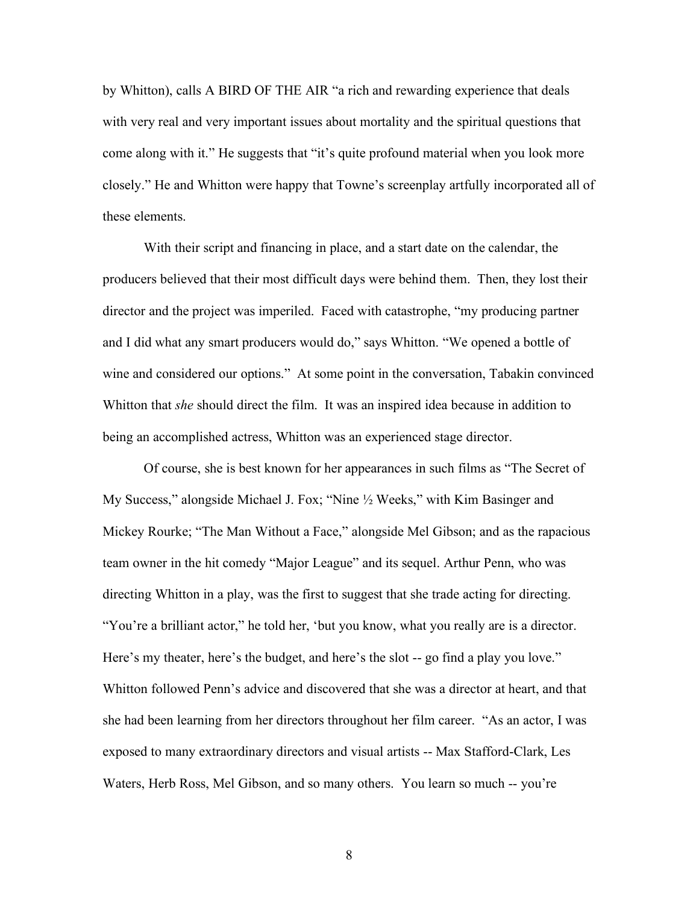by Whitton), calls A BIRD OF THE AIR "a rich and rewarding experience that deals with very real and very important issues about mortality and the spiritual questions that come along with it." He suggests that "it's quite profound material when you look more closely." He and Whitton were happy that Towne's screenplay artfully incorporated all of these elements.

With their script and financing in place, and a start date on the calendar, the producers believed that their most difficult days were behind them. Then, they lost their director and the project was imperiled. Faced with catastrophe, "my producing partner and I did what any smart producers would do," says Whitton. "We opened a bottle of wine and considered our options." At some point in the conversation, Tabakin convinced Whitton that *she* should direct the film. It was an inspired idea because in addition to being an accomplished actress, Whitton was an experienced stage director.

Of course, she is best known for her appearances in such films as "The Secret of My Success," alongside Michael J. Fox; "Nine ½ Weeks," with Kim Basinger and Mickey Rourke; "The Man Without a Face," alongside Mel Gibson; and as the rapacious team owner in the hit comedy "Major League" and its sequel. Arthur Penn, who was directing Whitton in a play, was the first to suggest that she trade acting for directing. "You're a brilliant actor," he told her, 'but you know, what you really are is a director. Here's my theater, here's the budget, and here's the slot -- go find a play you love." Whitton followed Penn's advice and discovered that she was a director at heart, and that she had been learning from her directors throughout her film career. "As an actor, I was exposed to many extraordinary directors and visual artists -- Max Stafford-Clark, Les Waters, Herb Ross, Mel Gibson, and so many others. You learn so much -- you're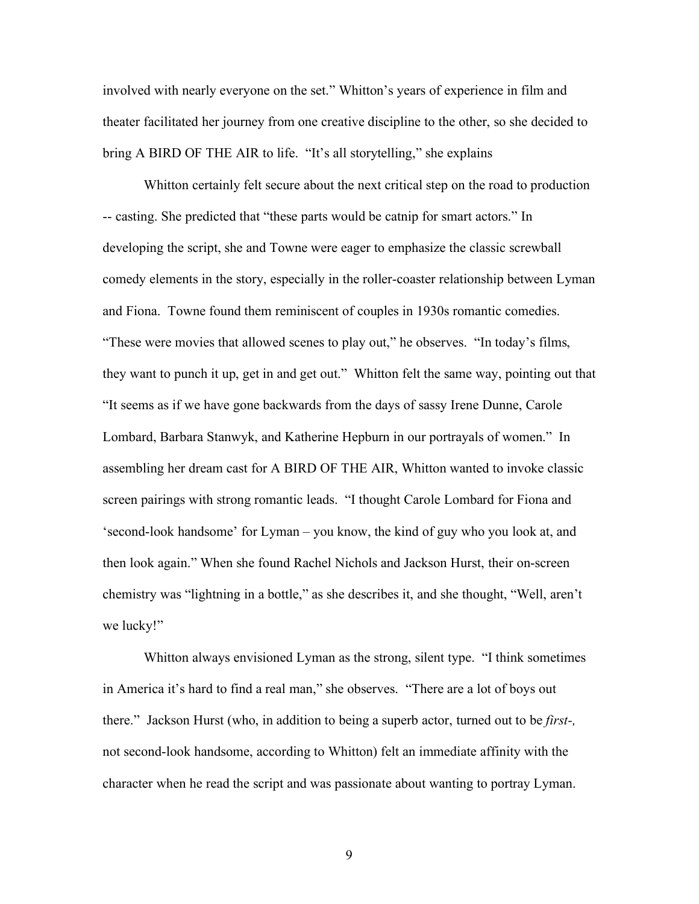involved with nearly everyone on the set." Whitton's years of experience in film and theater facilitated her journey from one creative discipline to the other, so she decided to bring A BIRD OF THE AIR to life. "It's all storytelling," she explains

Whitton certainly felt secure about the next critical step on the road to production -- casting. She predicted that "these parts would be catnip for smart actors." In developing the script, she and Towne were eager to emphasize the classic screwball comedy elements in the story, especially in the roller-coaster relationship between Lyman and Fiona. Towne found them reminiscent of couples in 1930s romantic comedies. "These were movies that allowed scenes to play out," he observes. "In today's films, they want to punch it up, get in and get out." Whitton felt the same way, pointing out that "It seems as if we have gone backwards from the days of sassy Irene Dunne, Carole Lombard, Barbara Stanwyk, and Katherine Hepburn in our portrayals of women." In assembling her dream cast for A BIRD OF THE AIR, Whitton wanted to invoke classic screen pairings with strong romantic leads. "I thought Carole Lombard for Fiona and 'second-look handsome' for Lyman – you know, the kind of guy who you look at, and then look again." When she found Rachel Nichols and Jackson Hurst, their on-screen chemistry was "lightning in a bottle," as she describes it, and she thought, "Well, aren't we lucky!"

Whitton always envisioned Lyman as the strong, silent type. "I think sometimes in America it's hard to find a real man," she observes. "There are a lot of boys out there." Jackson Hurst (who, in addition to being a superb actor, turned out to be *first-,*  not second-look handsome, according to Whitton) felt an immediate affinity with the character when he read the script and was passionate about wanting to portray Lyman.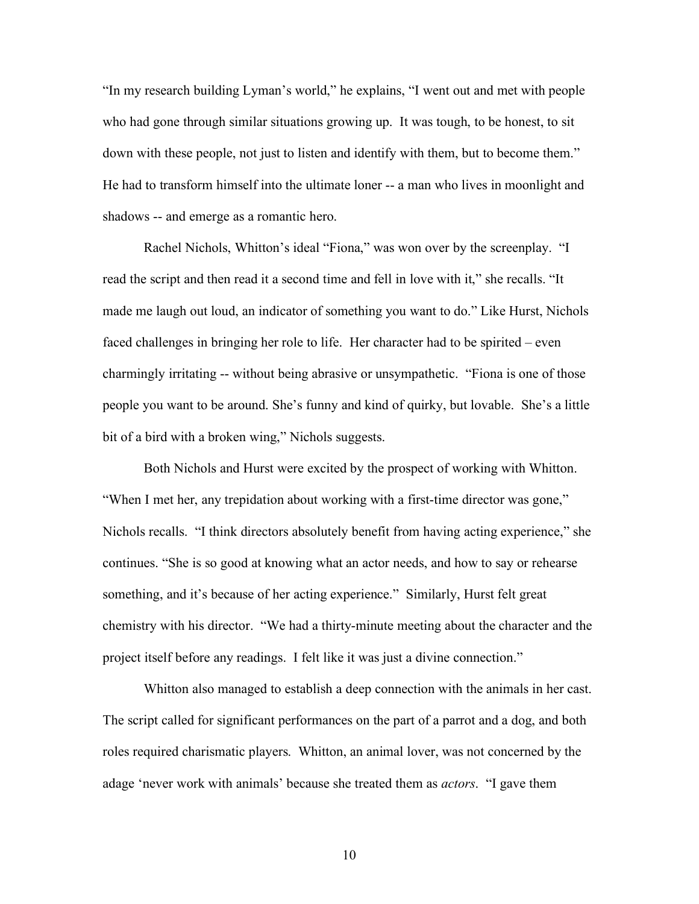"In my research building Lyman's world," he explains, "I went out and met with people who had gone through similar situations growing up. It was tough, to be honest, to sit down with these people, not just to listen and identify with them, but to become them." He had to transform himself into the ultimate loner -- a man who lives in moonlight and shadows -- and emerge as a romantic hero.

Rachel Nichols, Whitton's ideal "Fiona," was won over by the screenplay. "I read the script and then read it a second time and fell in love with it," she recalls. "It made me laugh out loud, an indicator of something you want to do." Like Hurst, Nichols faced challenges in bringing her role to life. Her character had to be spirited – even charmingly irritating -- without being abrasive or unsympathetic. "Fiona is one of those people you want to be around. She's funny and kind of quirky, but lovable. She's a little bit of a bird with a broken wing," Nichols suggests.

Both Nichols and Hurst were excited by the prospect of working with Whitton. "When I met her, any trepidation about working with a first-time director was gone," Nichols recalls. "I think directors absolutely benefit from having acting experience," she continues. "She is so good at knowing what an actor needs, and how to say or rehearse something, and it's because of her acting experience." Similarly, Hurst felt great chemistry with his director. "We had a thirty-minute meeting about the character and the project itself before any readings. I felt like it was just a divine connection."

Whitton also managed to establish a deep connection with the animals in her cast. The script called for significant performances on the part of a parrot and a dog, and both roles required charismatic players. Whitton, an animal lover, was not concerned by the adage 'never work with animals' because she treated them as *actors*. "I gave them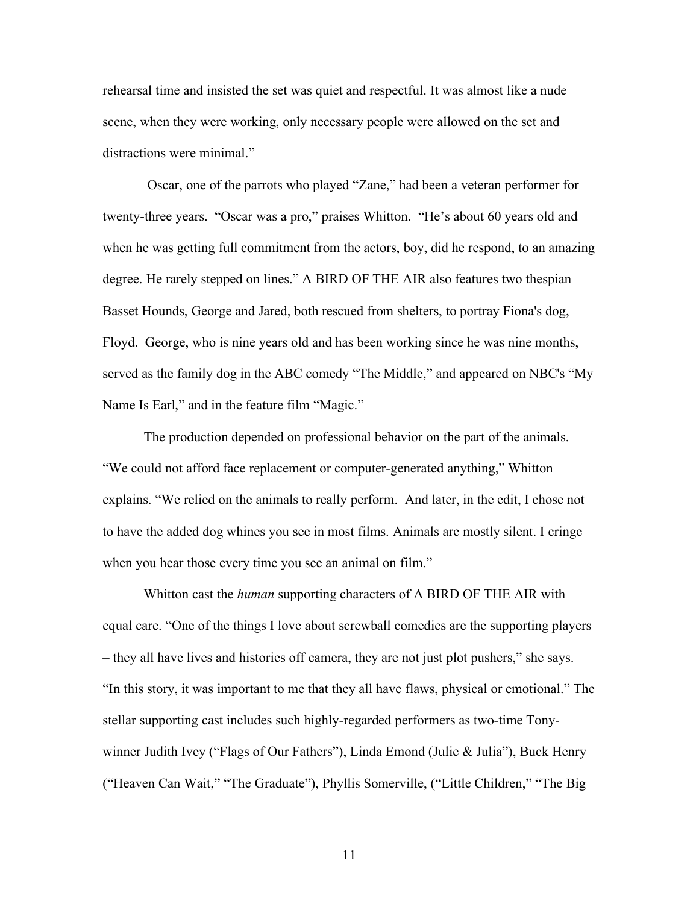rehearsal time and insisted the set was quiet and respectful. It was almost like a nude scene, when they were working, only necessary people were allowed on the set and distractions were minimal."

 Oscar, one of the parrots who played "Zane," had been a veteran performer for twenty-three years. "Oscar was a pro," praises Whitton. "He's about 60 years old and when he was getting full commitment from the actors, boy, did he respond, to an amazing degree. He rarely stepped on lines." A BIRD OF THE AIR also features two thespian Basset Hounds, George and Jared, both rescued from shelters, to portray Fiona's dog, Floyd. George, who is nine years old and has been working since he was nine months, served as the family dog in the ABC comedy "The Middle," and appeared on NBC's "My Name Is Earl," and in the feature film "Magic."

The production depended on professional behavior on the part of the animals. "We could not afford face replacement or computer-generated anything," Whitton explains. "We relied on the animals to really perform. And later, in the edit, I chose not to have the added dog whines you see in most films. Animals are mostly silent. I cringe when you hear those every time you see an animal on film."

Whitton cast the *human* supporting characters of A BIRD OF THE AIR with equal care. "One of the things I love about screwball comedies are the supporting players – they all have lives and histories off camera, they are not just plot pushers," she says. "In this story, it was important to me that they all have flaws, physical or emotional." The stellar supporting cast includes such highly-regarded performers as two-time Tonywinner Judith Ivey ("Flags of Our Fathers"), Linda Emond (Julie & Julia"), Buck Henry ("Heaven Can Wait," "The Graduate"), Phyllis Somerville, ("Little Children," "The Big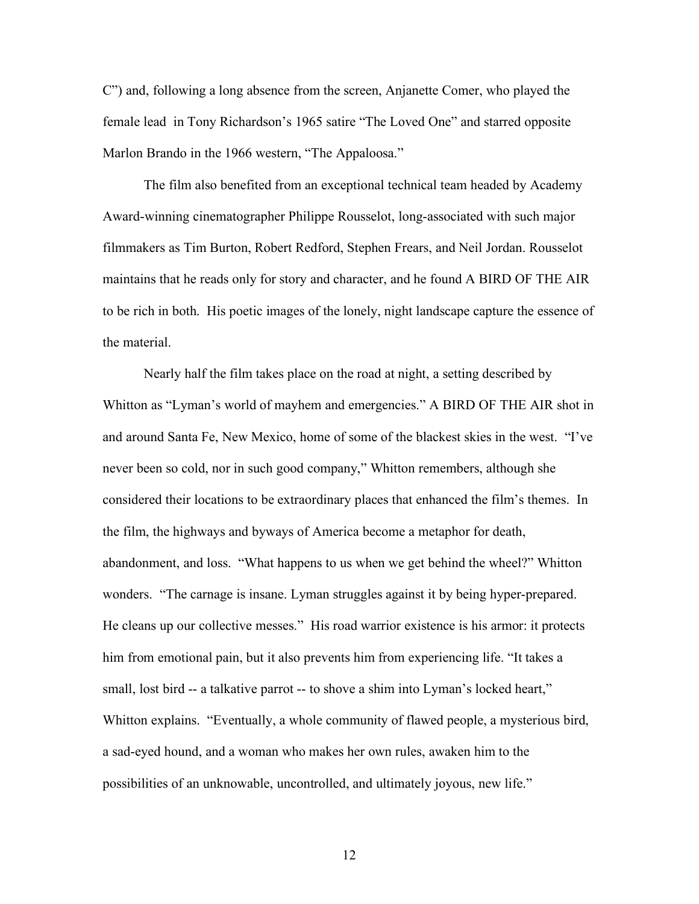C") and, following a long absence from the screen, Anjanette Comer, who played the female lead in Tony Richardson's 1965 satire "The Loved One" and starred opposite Marlon Brando in the 1966 western, "The Appaloosa."

The film also benefited from an exceptional technical team headed by Academy Award-winning cinematographer Philippe Rousselot, long-associated with such major filmmakers as Tim Burton, Robert Redford, Stephen Frears, and Neil Jordan. Rousselot maintains that he reads only for story and character, and he found A BIRD OF THE AIR to be rich in both. His poetic images of the lonely, night landscape capture the essence of the material.

Nearly half the film takes place on the road at night, a setting described by Whitton as "Lyman's world of mayhem and emergencies." A BIRD OF THE AIR shot in and around Santa Fe, New Mexico, home of some of the blackest skies in the west. "I've never been so cold, nor in such good company," Whitton remembers, although she considered their locations to be extraordinary places that enhanced the film's themes. In the film, the highways and byways of America become a metaphor for death, abandonment, and loss. "What happens to us when we get behind the wheel?" Whitton wonders. "The carnage is insane. Lyman struggles against it by being hyper-prepared. He cleans up our collective messes." His road warrior existence is his armor: it protects him from emotional pain, but it also prevents him from experiencing life. "It takes a small, lost bird -- a talkative parrot -- to shove a shim into Lyman's locked heart," Whitton explains. "Eventually, a whole community of flawed people, a mysterious bird, a sad-eyed hound, and a woman who makes her own rules, awaken him to the possibilities of an unknowable, uncontrolled, and ultimately joyous, new life."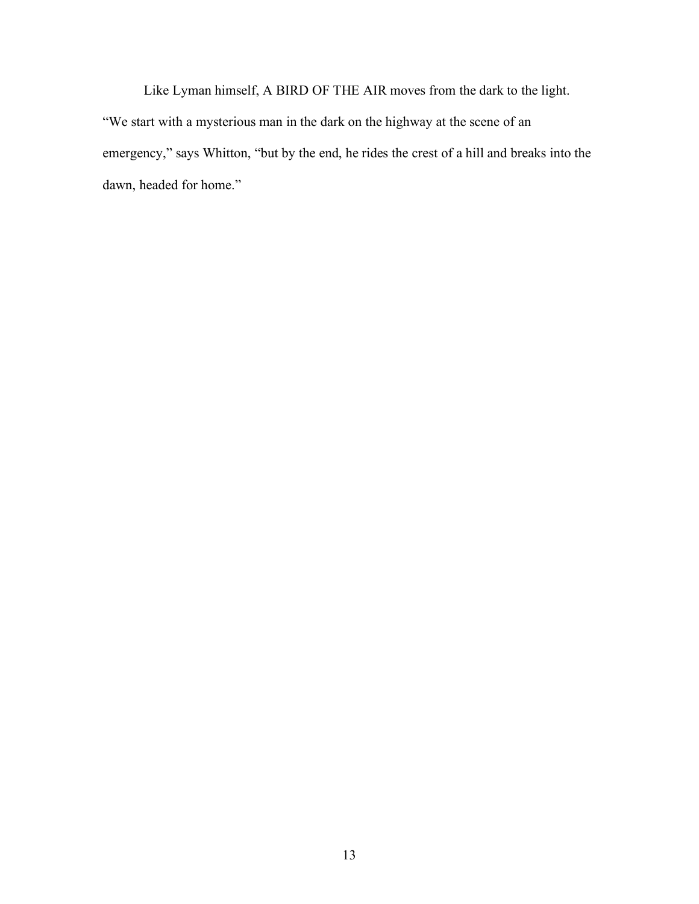Like Lyman himself, A BIRD OF THE AIR moves from the dark to the light. "We start with a mysterious man in the dark on the highway at the scene of an emergency," says Whitton, "but by the end, he rides the crest of a hill and breaks into the dawn, headed for home."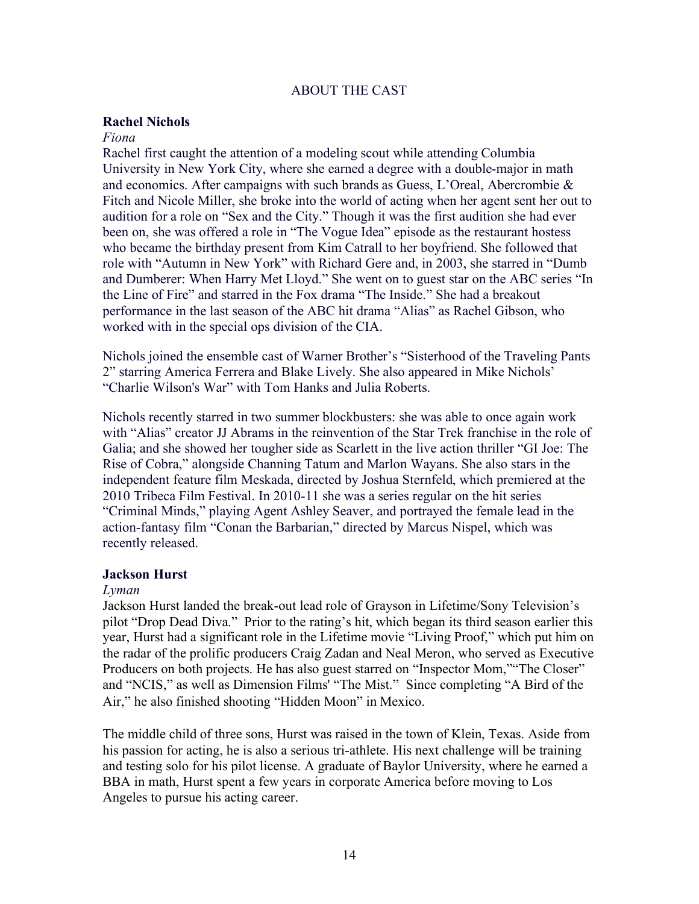# ABOUT THE CAST

# **Rachel Nichols**

# *Fiona*

Rachel first caught the attention of a modeling scout while attending Columbia University in New York City, where she earned a degree with a double-major in math and economics. After campaigns with such brands as Guess, L'Oreal, Abercrombie & Fitch and Nicole Miller, she broke into the world of acting when her agent sent her out to audition for a role on "Sex and the City." Though it was the first audition she had ever been on, she was offered a role in "The Vogue Idea" episode as the restaurant hostess who became the birthday present from Kim Catrall to her boyfriend. She followed that role with "Autumn in New York" with Richard Gere and, in 2003, she starred in "Dumb and Dumberer: When Harry Met Lloyd." She went on to guest star on the ABC series "In the Line of Fire" and starred in the Fox drama "The Inside." She had a breakout performance in the last season of the ABC hit drama "Alias" as Rachel Gibson, who worked with in the special ops division of the CIA.

Nichols joined the ensemble cast of Warner Brother's "Sisterhood of the Traveling Pants 2" starring America Ferrera and Blake Lively. She also appeared in Mike Nichols' "Charlie Wilson's War" with Tom Hanks and Julia Roberts.

Nichols recently starred in two summer blockbusters: she was able to once again work with "Alias" creator JJ Abrams in the reinvention of the Star Trek franchise in the role of Galia; and she showed her tougher side as Scarlett in the live action thriller "GI Joe: The Rise of Cobra," alongside Channing Tatum and Marlon Wayans. She also stars in the independent feature film Meskada, directed by Joshua Sternfeld, which premiered at the 2010 Tribeca Film Festival. In 2010-11 she was a series regular on the hit series "Criminal Minds," playing Agent Ashley Seaver, and portrayed the female lead in the action-fantasy film "Conan the Barbarian," directed by Marcus Nispel, which was recently released.

# **Jackson Hurst**

#### *Lyman*

Jackson Hurst landed the break-out lead role of Grayson in Lifetime/Sony Television's pilot "Drop Dead Diva." Prior to the rating's hit, which began its third season earlier this year, Hurst had a significant role in the Lifetime movie "Living Proof," which put him on the radar of the prolific producers Craig Zadan and Neal Meron, who served as Executive Producers on both projects. He has also guest starred on "Inspector Mom," The Closer" and "NCIS," as well as Dimension Films' "The Mist." Since completing "A Bird of the Air," he also finished shooting "Hidden Moon" in Mexico.

The middle child of three sons, Hurst was raised in the town of Klein, Texas. Aside from his passion for acting, he is also a serious tri-athlete. His next challenge will be training and testing solo for his pilot license. A graduate of Baylor University, where he earned a BBA in math, Hurst spent a few years in corporate America before moving to Los Angeles to pursue his acting career.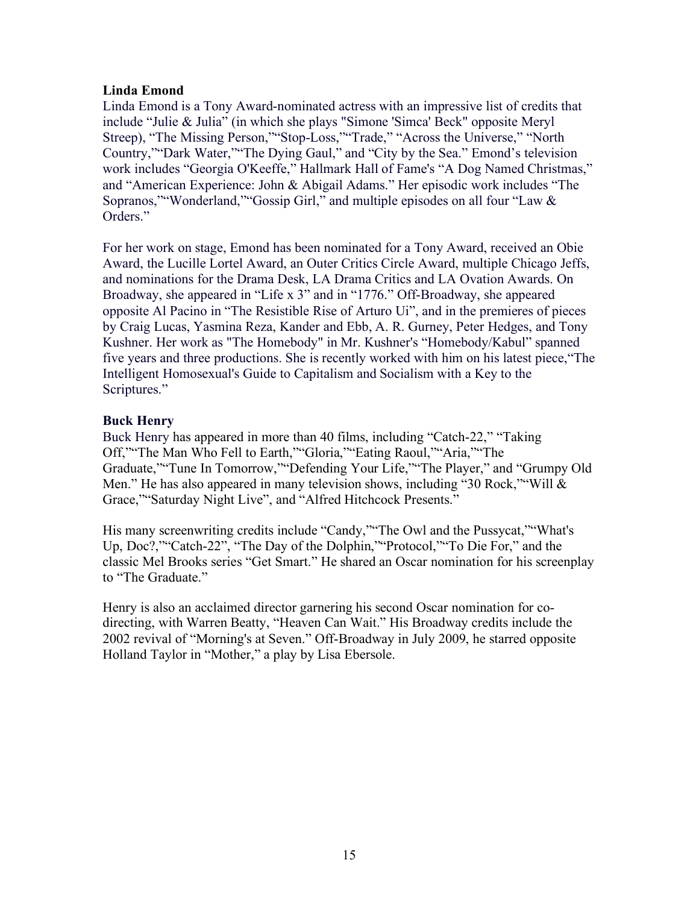# **Linda Emond**

Linda Emond is a Tony Award-nominated actress with an impressive list of credits that include "Julie & Julia" (in which she plays "Simone 'Simca' Beck" opposite Meryl Streep), "The Missing Person,""Stop-Loss,""Trade," "Across the Universe," "North Country,""Dark Water,""The Dying Gaul," and "City by the Sea." Emond's television work includes "Georgia O'Keeffe," Hallmark Hall of Fame's "A Dog Named Christmas," and "American Experience: John & Abigail Adams." Her episodic work includes "The Sopranos,""Wonderland,""Gossip Girl," and multiple episodes on all four "Law & Orders."

For her work on stage, Emond has been nominated for a Tony Award, received an Obie Award, the Lucille Lortel Award, an Outer Critics Circle Award, multiple Chicago Jeffs, and nominations for the Drama Desk, LA Drama Critics and LA Ovation Awards. On Broadway, she appeared in "Life x 3" and in "1776." Off-Broadway, she appeared opposite Al Pacino in "The Resistible Rise of Arturo Ui", and in the premieres of pieces by Craig Lucas, Yasmina Reza, Kander and Ebb, A. R. Gurney, Peter Hedges, and Tony Kushner. Her work as "The Homebody" in Mr. Kushner's "Homebody/Kabul" spanned five years and three productions. She is recently worked with him on his latest piece,"The Intelligent Homosexual's Guide to Capitalism and Socialism with a Key to the Scriptures."

# **Buck Henry**

Buck Henry has appeared in more than 40 films, including "Catch-22," "Taking Off,""The Man Who Fell to Earth,""Gloria,""Eating Raoul,""Aria,""The Graduate,""Tune In Tomorrow,""Defending Your Life,""The Player," and "Grumpy Old Men." He has also appeared in many television shows, including "30 Rock," "Will & Grace,""Saturday Night Live", and "Alfred Hitchcock Presents."

His many screenwriting credits include "Candy,""The Owl and the Pussycat,""What's Up, Doc?,""Catch-22", "The Day of the Dolphin,""Protocol,""To Die For," and the classic Mel Brooks series "Get Smart." He shared an Oscar nomination for his screenplay to "The Graduate."

Henry is also an acclaimed director garnering his second Oscar nomination for codirecting, with Warren Beatty, "Heaven Can Wait." His Broadway credits include the 2002 revival of "Morning's at Seven." Off-Broadway in July 2009, he starred opposite Holland Taylor in "Mother," a play by Lisa Ebersole.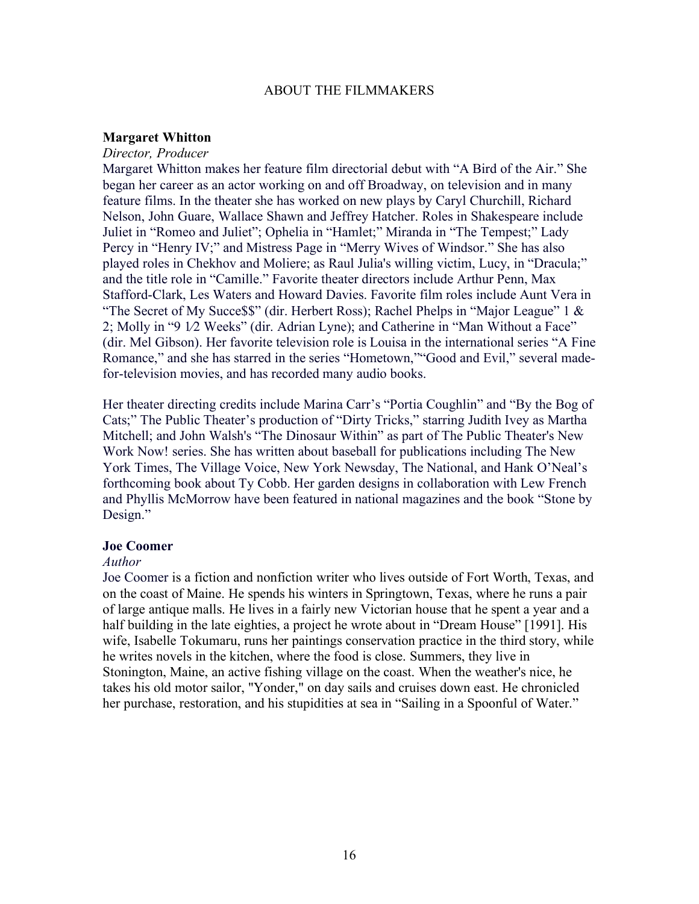#### ABOUT THE FILMMAKERS

#### **Margaret Whitton**

#### *Director, Producer*

Margaret Whitton makes her feature film directorial debut with "A Bird of the Air." She began her career as an actor working on and off Broadway, on television and in many feature films. In the theater she has worked on new plays by Caryl Churchill, Richard Nelson, John Guare, Wallace Shawn and Jeffrey Hatcher. Roles in Shakespeare include Juliet in "Romeo and Juliet"; Ophelia in "Hamlet;" Miranda in "The Tempest;" Lady Percy in "Henry IV;" and Mistress Page in "Merry Wives of Windsor." She has also played roles in Chekhov and Moliere; as Raul Julia's willing victim, Lucy, in "Dracula;" and the title role in "Camille." Favorite theater directors include Arthur Penn, Max Stafford-Clark, Les Waters and Howard Davies. Favorite film roles include Aunt Vera in "The Secret of My Success" (dir. Herbert Ross); Rachel Phelps in "Major League" 1  $\&$ 2; Molly in "9 1⁄2 Weeks" (dir. Adrian Lyne); and Catherine in "Man Without a Face" (dir. Mel Gibson). Her favorite television role is Louisa in the international series "A Fine Romance," and she has starred in the series "Hometown,""Good and Evil," several madefor-television movies, and has recorded many audio books.

Her theater directing credits include Marina Carr's "Portia Coughlin" and "By the Bog of Cats;" The Public Theater's production of "Dirty Tricks," starring Judith Ivey as Martha Mitchell; and John Walsh's "The Dinosaur Within" as part of The Public Theater's New Work Now! series. She has written about baseball for publications including The New York Times, The Village Voice, New York Newsday, The National, and Hank O'Neal's forthcoming book about Ty Cobb. Her garden designs in collaboration with Lew French and Phyllis McMorrow have been featured in national magazines and the book "Stone by Design."

# **Joe Coomer**

# *Author*

Joe Coomer is a fiction and nonfiction writer who lives outside of Fort Worth, Texas, and on the coast of Maine. He spends his winters in Springtown, Texas, where he runs a pair of large antique malls. He lives in a fairly new Victorian house that he spent a year and a half building in the late eighties, a project he wrote about in "Dream House" [1991]. His wife, Isabelle Tokumaru, runs her paintings conservation practice in the third story, while he writes novels in the kitchen, where the food is close. Summers, they live in Stonington, Maine, an active fishing village on the coast. When the weather's nice, he takes his old motor sailor, "Yonder," on day sails and cruises down east. He chronicled her purchase, restoration, and his stupidities at sea in "Sailing in a Spoonful of Water."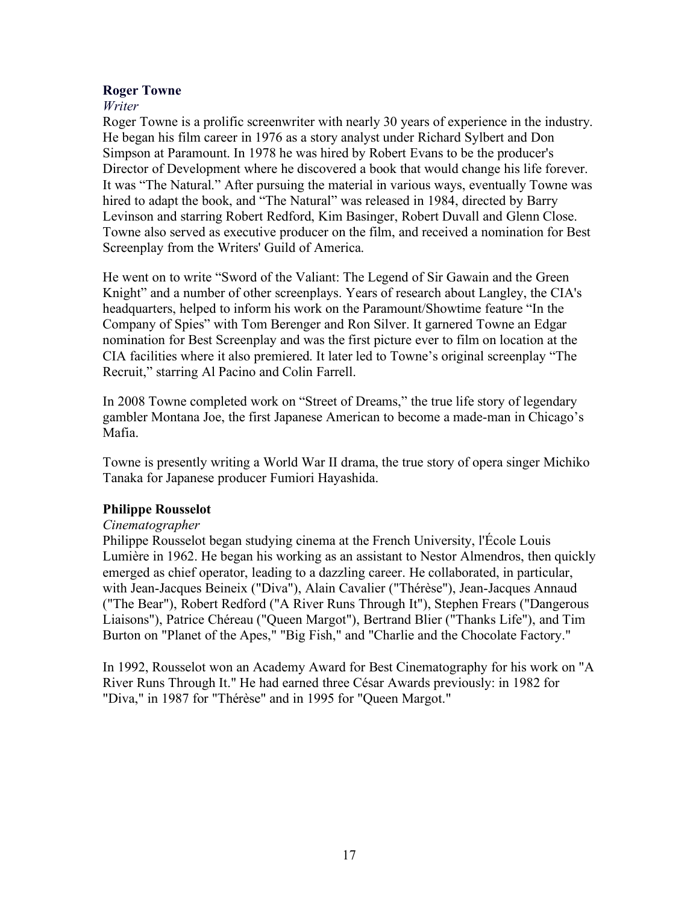# **Roger Towne**

# *Writer*

Roger Towne is a prolific screenwriter with nearly 30 years of experience in the industry. He began his film career in 1976 as a story analyst under Richard Sylbert and Don Simpson at Paramount. In 1978 he was hired by Robert Evans to be the producer's Director of Development where he discovered a book that would change his life forever. It was "The Natural." After pursuing the material in various ways, eventually Towne was hired to adapt the book, and "The Natural" was released in 1984, directed by Barry Levinson and starring Robert Redford, Kim Basinger, Robert Duvall and Glenn Close. Towne also served as executive producer on the film, and received a nomination for Best Screenplay from the Writers' Guild of America.

He went on to write "Sword of the Valiant: The Legend of Sir Gawain and the Green Knight" and a number of other screenplays. Years of research about Langley, the CIA's headquarters, helped to inform his work on the Paramount/Showtime feature "In the Company of Spies" with Tom Berenger and Ron Silver. It garnered Towne an Edgar nomination for Best Screenplay and was the first picture ever to film on location at the CIA facilities where it also premiered. It later led to Towne's original screenplay "The Recruit," starring Al Pacino and Colin Farrell.

In 2008 Towne completed work on "Street of Dreams," the true life story of legendary gambler Montana Joe, the first Japanese American to become a made-man in Chicago's Mafia.

Towne is presently writing a World War II drama, the true story of opera singer Michiko Tanaka for Japanese producer Fumiori Hayashida.

# **Philippe Rousselot**

# *Cinematographer*

Philippe Rousselot began studying cinema at the French University, l'École Louis Lumière in 1962. He began his working as an assistant to Nestor Almendros, then quickly emerged as chief operator, leading to a dazzling career. He collaborated, in particular, with Jean-Jacques Beineix ("Diva"), Alain Cavalier ("Thérèse"), Jean-Jacques Annaud ("The Bear"), Robert Redford ("A River Runs Through It"), Stephen Frears ("Dangerous Liaisons"), Patrice Chéreau ("Queen Margot"), Bertrand Blier ("Thanks Life"), and Tim Burton on "Planet of the Apes," "Big Fish," and "Charlie and the Chocolate Factory."

In 1992, Rousselot won an Academy Award for Best Cinematography for his work on "A River Runs Through It." He had earned three César Awards previously: in 1982 for "Diva," in 1987 for "Thérèse" and in 1995 for "Queen Margot."